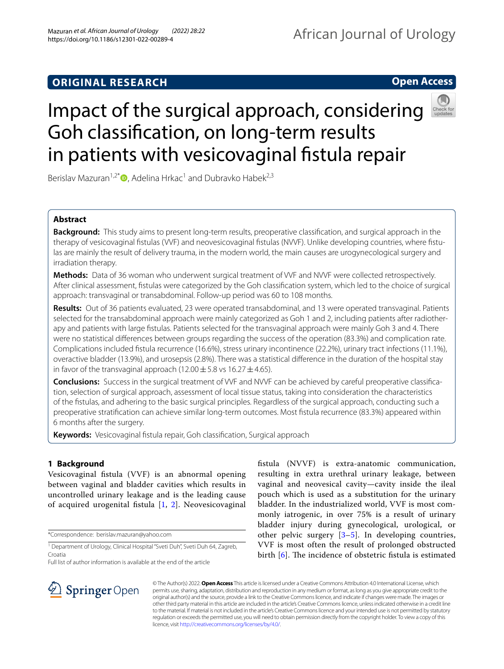# **ORIGINAL RESEARCH**

# **Open Access**



# Impact of the surgical approach, considering Goh classifcation, on long-term results in patients with vesicovaginal fstula repair

Berislav Mazuran<sup>1,2[\\*](http://orcid.org/0000-0001-5153-8124)</sup>  $\bullet$ , Adelina Hrkac<sup>1</sup> and Dubravko Habek<sup>2,3</sup>

# **Abstract**

**Background:** This study aims to present long-term results, preoperative classifcation, and surgical approach in the therapy of vesicovaginal fstulas (VVF) and neovesicovaginal fstulas (NVVF). Unlike developing countries, where fstulas are mainly the result of delivery trauma, in the modern world, the main causes are urogynecological surgery and irradiation therapy.

**Methods:** Data of 36 woman who underwent surgical treatment of VVF and NVVF were collected retrospectively. After clinical assessment, fstulas were categorized by the Goh classifcation system, which led to the choice of surgical approach: transvaginal or transabdominal. Follow-up period was 60 to 108 months.

**Results:** Out of 36 patients evaluated, 23 were operated transabdominal, and 13 were operated transvaginal. Patients selected for the transabdominal approach were mainly categorized as Goh 1 and 2, including patients after radiotherapy and patients with large fstulas. Patients selected for the transvaginal approach were mainly Goh 3 and 4. There were no statistical diferences between groups regarding the success of the operation (83.3%) and complication rate. Complications included fstula recurrence (16.6%), stress urinary incontinence (22.2%), urinary tract infections (11.1%), overactive bladder (13.9%), and urosepsis (2.8%). There was a statistical diference in the duration of the hospital stay in favor of the transvaginal approach (12.00 $\pm$ 5.8 vs 16.27 $\pm$ 4.65).

**Conclusions:** Success in the surgical treatment of VVF and NVVF can be achieved by careful preoperative classifcation, selection of surgical approach, assessment of local tissue status, taking into consideration the characteristics of the fstulas, and adhering to the basic surgical principles. Regardless of the surgical approach, conducting such a preoperative stratifcation can achieve similar long-term outcomes. Most fstula recurrence (83.3%) appeared within 6 months after the surgery.

Keywords: Vesicovaginal fistula repair, Goh classification, Surgical approach

## **1 Background**

Vesicovaginal fstula (VVF) is an abnormal opening between vaginal and bladder cavities which results in uncontrolled urinary leakage and is the leading cause of acquired urogenital fistula  $[1, 2]$  $[1, 2]$  $[1, 2]$  $[1, 2]$  $[1, 2]$ . Neovesicovaginal

\*Correspondence: berislav.mazuran@yahoo.com

Full list of author information is available at the end of the article

fstula (NVVF) is extra-anatomic communication, resulting in extra urethral urinary leakage, between vaginal and neovesical cavity—cavity inside the ileal pouch which is used as a substitution for the urinary bladder. In the industrialized world, VVF is most commonly iatrogenic, in over 75% is a result of urinary bladder injury during gynecological, urological, or other pelvic surgery [\[3](#page-4-2)–[5\]](#page-4-3). In developing countries, VVF is most often the result of prolonged obstructed birth  $[6]$  $[6]$  $[6]$ . The incidence of obstetric fistula is estimated



© The Author(s) 2022. **Open Access** This article is licensed under a Creative Commons Attribution 4.0 International License, which permits use, sharing, adaptation, distribution and reproduction in any medium or format, as long as you give appropriate credit to the original author(s) and the source, provide a link to the Creative Commons licence, and indicate if changes were made. The images or other third party material in this article are included in the article's Creative Commons licence, unless indicated otherwise in a credit line to the material. If material is not included in the article's Creative Commons licence and your intended use is not permitted by statutory regulation or exceeds the permitted use, you will need to obtain permission directly from the copyright holder. To view a copy of this licence, visit [http://creativecommons.org/licenses/by/4.0/.](http://creativecommons.org/licenses/by/4.0/)

<sup>&</sup>lt;sup>1</sup> Department of Urology, Clinical Hospital "Sveti Duh", Sveti Duh 64, Zagreb, Croatia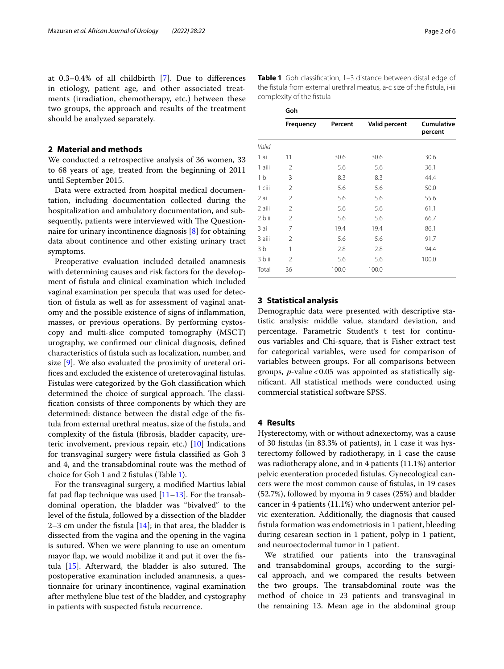at 0.3–0.4% of all childbirth [\[7](#page-4-5)]. Due to diferences in etiology, patient age, and other associated treatments (irradiation, chemotherapy, etc.) between these two groups, the approach and results of the treatment should be analyzed separately.

### **2 Material and methods**

We conducted a retrospective analysis of 36 women, 33 to 68 years of age, treated from the beginning of 2011 until September 2015.

Data were extracted from hospital medical documentation, including documentation collected during the hospitalization and ambulatory documentation, and subsequently, patients were interviewed with The Questionnaire for urinary incontinence diagnosis [[8\]](#page-4-6) for obtaining data about continence and other existing urinary tract symptoms.

Preoperative evaluation included detailed anamnesis with determining causes and risk factors for the development of fstula and clinical examination which included vaginal examination per specula that was used for detection of fstula as well as for assessment of vaginal anatomy and the possible existence of signs of infammation, masses, or previous operations. By performing cystoscopy and multi-slice computed tomography (MSCT) urography, we confrmed our clinical diagnosis, defned characteristics of fstula such as localization, number, and size [\[9](#page-4-7)]. We also evaluated the proximity of ureteral orifices and excluded the existence of ureterovaginal fistulas. Fistulas were categorized by the Goh classifcation which determined the choice of surgical approach. The classifcation consists of three components by which they are determined: distance between the distal edge of the fstula from external urethral meatus, size of the fstula, and complexity of the fstula (fbrosis, bladder capacity, ureteric involvement, previous repair, etc.) [\[10\]](#page-4-8) Indications for transvaginal surgery were fstula classifed as Goh 3 and 4, and the transabdominal route was the method of choice for Goh 1 and 2 fstulas (Table [1\)](#page-1-0).

For the transvaginal surgery, a modifed Martius labial fat pad flap technique was used  $[11-13]$  $[11-13]$  $[11-13]$ . For the transabdominal operation, the bladder was "bivalved" to the level of the fstula, followed by a dissection of the bladder 2–3 cm under the fistula  $[14]$  $[14]$ ; in that area, the bladder is dissected from the vagina and the opening in the vagina is sutured. When we were planning to use an omentum mayor flap, we would mobilize it and put it over the fistula  $[15]$  $[15]$ . Afterward, the bladder is also sutured. The postoperative examination included anamnesis, a questionnaire for urinary incontinence, vaginal examination after methylene blue test of the bladder, and cystography in patients with suspected fstula recurrence.

the fstula from external urethral meatus, a-c size of the fstula, i-iii complexity of the fstula **Goh Frequency Percent Valid percent Cumulative** 

<span id="page-1-0"></span>**Table 1** Goh classifcation, 1–3 distance between distal edge of

|        |                |       | requency reflect vally percent | Cumulative<br>percent |
|--------|----------------|-------|--------------------------------|-----------------------|
| Valid  |                |       |                                |                       |
| 1 ai   | 11             | 30.6  | 30.6                           | 30.6                  |
| 1 aiii | 2              | 5.6   | 5.6                            | 36.1                  |
| 1 bi   | 3              | 8.3   | 8.3                            | 44.4                  |
| 1 ciii | $\overline{2}$ | 5.6   | 5.6                            | 50.0                  |
| 2 ai   | 2              | 5.6   | 5.6                            | 55.6                  |
| 2 aiii | $\overline{2}$ | 5.6   | 5.6                            | 61.1                  |
| 2 biii | $\overline{2}$ | 5.6   | 5.6                            | 66.7                  |
| 3 ai   | 7              | 19.4  | 19.4                           | 86.1                  |
| 3 aiii | $\overline{2}$ | 5.6   | 5.6                            | 91.7                  |
| 3 bi   | $\mathbf{1}$   | 2.8   | 2.8                            | 94.4                  |
| 3 biii | $\overline{2}$ | 5.6   | 5.6                            | 100.0                 |
| Total  | 36             | 100.0 | 100.0                          |                       |

## **3 Statistical analysis**

Demographic data were presented with descriptive statistic analysis: middle value, standard deviation, and percentage. Parametric Student's t test for continuous variables and Chi-square, that is Fisher extract test for categorical variables, were used for comparison of variables between groups. For all comparisons between groups, *p*-value < 0.05 was appointed as statistically signifcant. All statistical methods were conducted using commercial statistical software SPSS.

## **4 Results**

Hysterectomy, with or without adnexectomy, was a cause of 30 fstulas (in 83.3% of patients), in 1 case it was hysterectomy followed by radiotherapy, in 1 case the cause was radiotherapy alone, and in 4 patients (11.1%) anterior pelvic exenteration proceded fstulas. Gynecological cancers were the most common cause of fstulas, in 19 cases (52.7%), followed by myoma in 9 cases (25%) and bladder cancer in 4 patients (11.1%) who underwent anterior pelvic exenteration. Additionally, the diagnosis that caused fstula formation was endometriosis in 1 patient, bleeding during cesarean section in 1 patient, polyp in 1 patient, and neuroectodermal tumor in 1 patient.

We stratifed our patients into the transvaginal and transabdominal groups, according to the surgical approach, and we compared the results between the two groups. The transabdominal route was the method of choice in 23 patients and transvaginal in the remaining 13. Mean age in the abdominal group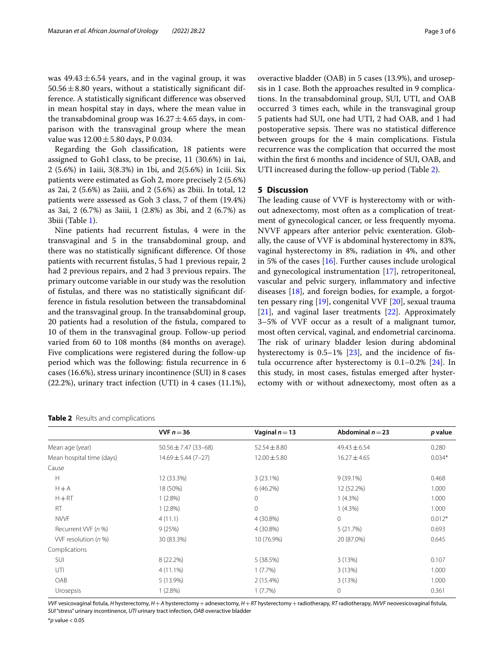was  $49.43 \pm 6.54$  years, and in the vaginal group, it was  $50.56 \pm 8.80$  years, without a statistically significant difference. A statistically signifcant diference was observed in mean hospital stay in days, where the mean value in the transabdominal group was  $16.27 \pm 4.65$  days, in comparison with the transvaginal group where the mean value was  $12.00 \pm 5.80$  days, P 0.034.

Regarding the Goh classifcation, 18 patients were assigned to Goh1 class, to be precise, 11 (30.6%) in 1ai, 2 (5.6%) in 1aiii, 3(8.3%) in 1bi, and 2(5.6%) in 1ciii. Six patients were estimated as Goh 2, more precisely 2 (5.6%) as 2ai, 2 (5.6%) as 2aiii, and 2 (5.6%) as 2biii. In total, 12 patients were assessed as Goh 3 class, 7 of them (19.4%) as 3ai, 2 (6.7%) as 3aiii, 1 (2.8%) as 3bi, and 2 (6.7%) as 3biii (Table [1\)](#page-1-0).

Nine patients had recurrent fstulas, 4 were in the transvaginal and 5 in the transabdominal group, and there was no statistically signifcant diference. Of those patients with recurrent fstulas, 5 had 1 previous repair, 2 had 2 previous repairs, and 2 had 3 previous repairs. The primary outcome variable in our study was the resolution of fstulas, and there was no statistically signifcant difference in fstula resolution between the transabdominal and the transvaginal group. In the transabdominal group, 20 patients had a resolution of the fstula, compared to 10 of them in the transvaginal group. Follow-up period varied from 60 to 108 months (84 months on average). Five complications were registered during the follow-up period which was the following: fstula recurrence in 6 cases (16.6%), stress urinary incontinence (SUI) in 8 cases (22.2%), urinary tract infection (UTI) in 4 cases (11.1%), overactive bladder (OAB) in 5 cases (13.9%), and urosepsis in 1 case. Both the approaches resulted in 9 complications. In the transabdominal group, SUI, UTI, and OAB occurred 3 times each, while in the transvaginal group 5 patients had SUI, one had UTI, 2 had OAB, and 1 had postoperative sepsis. There was no statistical difference between groups for the 4 main complications. Fistula recurrence was the complication that occurred the most within the frst 6 months and incidence of SUI, OAB, and UTI increased during the follow-up period (Table [2\)](#page-2-0).

## **5 Discussion**

The leading cause of VVF is hysterectomy with or without adnexectomy, most often as a complication of treatment of gynecological cancer, or less frequently myoma. NVVF appears after anterior pelvic exenteration. Globally, the cause of VVF is abdominal hysterectomy in 83%, vaginal hysterectomy in 8%, radiation in 4%, and other in 5% of the cases [[16\]](#page-4-13). Further causes include urological and gynecological instrumentation [[17\]](#page-4-14), retroperitoneal, vascular and pelvic surgery, infammatory and infective diseases [[18](#page-4-15)], and foreign bodies, for example, a forgotten pessary ring [[19\]](#page-4-16), congenital VVF [\[20](#page-4-17)], sexual trauma [[21\]](#page-4-18), and vaginal laser treatments [[22\]](#page-4-19). Approximately 3–5% of VVF occur as a result of a malignant tumor, most often cervical, vaginal, and endometrial carcinoma. The risk of urinary bladder lesion during abdominal hysterectomy is 0.5–1% [[23](#page-4-20)], and the incidence of fstula occurrence after hysterectomy is 0.1–0.2% [[24](#page-4-21)]. In this study, in most cases, fstulas emerged after hysterectomy with or without adnexectomy, most often as a

<span id="page-2-0"></span>

| Table 2 Results and complications |  |  |  |  |
|-----------------------------------|--|--|--|--|
|-----------------------------------|--|--|--|--|

| VVF $n = 36$              | Vaginal $n = 13$ | Abdominal $n = 23$ | p value  |
|---------------------------|------------------|--------------------|----------|
| $50.56 \pm 7.47$ (33-68)  | $52.54 \pm 8.80$ | $49.43 \pm 6.54$   | 0.280    |
| $14.69 \pm 5.44 (7 - 27)$ | $12.00 \pm 5.80$ | $16.27 \pm 4.65$   | $0.034*$ |
|                           |                  |                    |          |
| 12 (33.3%)                | $3(23.1\%)$      | $9(39.1\%)$        | 0.468    |
| 18 (50%)                  | 6(46.2%)         | 12 (52.2%)         | 1.000    |
| $1(2.8\%)$                | $\mathbf{0}$     | 1(4.3%)            | 1.000    |
| $1(2.8\%)$                | $\mathbf 0$      | $1(4.3\%)$         | 1.000    |
| 4(11.1)                   | 4 (30.8%)        | $\Omega$           | $0.012*$ |
| 9(25%)                    | 4 (30.8%)        | 5(21.7%)           | 0.693    |
| 30 (83.3%)                | 10 (76.9%)       | 20 (87.0%)         | 0.645    |
|                           |                  |                    |          |
| 8 (22.2%)                 | 5(38.5%)         | 3(13%)             | 0.107    |
| $4(11.1\%)$               | $1(7.7\%)$       | 3(13%)             | 1.000    |
| $5(13.9\%)$               | $2(15.4\%)$      | 3(13%)             | 1.000    |
| 1(2.8%)                   | $1(7.7\%)$       | $\Omega$           | 0.361    |
|                           |                  |                    |          |

*VVF* vesicovaginal fstula, *H* hysterectomy, *H*+*A* hysterectomy+adnexectomy, *H*+*RT* hysterectomy+radiotherapy, *RT* radiotherapy, *NVVF* neovesicovaginal fstula, *SUI* "stress" urinary incontinence, *UTI* urinary tract infection, *OAB* overactive bladder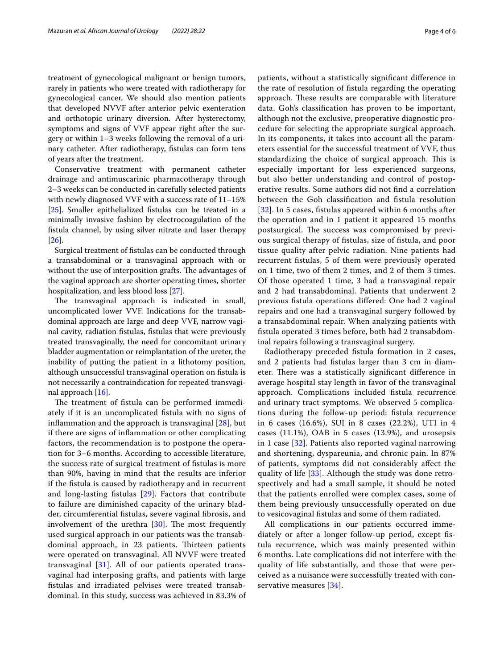treatment of gynecological malignant or benign tumors, rarely in patients who were treated with radiotherapy for gynecological cancer. We should also mention patients that developed NVVF after anterior pelvic exenteration and orthotopic urinary diversion. After hysterectomy, symptoms and signs of VVF appear right after the surgery or within 1–3 weeks following the removal of a urinary catheter. After radiotherapy, fstulas can form tens of years after the treatment.

Conservative treatment with permanent catheter drainage and antimuscarinic pharmacotherapy through 2–3 weeks can be conducted in carefully selected patients with newly diagnosed VVF with a success rate of 11–15% [[25\]](#page-4-22). Smaller epithelialized fistulas can be treated in a minimally invasive fashion by electrocoagulation of the fstula channel, by using silver nitrate and laser therapy [[26\]](#page-4-23).

Surgical treatment of fstulas can be conducted through a transabdominal or a transvaginal approach with or without the use of interposition grafts. The advantages of the vaginal approach are shorter operating times, shorter hospitalization, and less blood loss [\[27](#page-5-0)].

The transvaginal approach is indicated in small, uncomplicated lower VVF. Indications for the transabdominal approach are large and deep VVF, narrow vaginal cavity, radiation fstulas, fstulas that were previously treated transvaginally, the need for concomitant urinary bladder augmentation or reimplantation of the ureter, the inability of putting the patient in a lithotomy position, although unsuccessful transvaginal operation on fstula is not necessarily a contraindication for repeated transvaginal approach [\[16\]](#page-4-13).

The treatment of fistula can be performed immediately if it is an uncomplicated fstula with no signs of inflammation and the approach is transvaginal  $[28]$  $[28]$ , but if there are signs of infammation or other complicating factors, the recommendation is to postpone the operation for 3–6 months. According to accessible literature, the success rate of surgical treatment of fstulas is more than 90%, having in mind that the results are inferior if the fstula is caused by radiotherapy and in recurrent and long-lasting fstulas [\[29](#page-5-2)]. Factors that contribute to failure are diminished capacity of the urinary bladder, circumferential fstulas, severe vaginal fbrosis, and involvement of the urethra  $[30]$  $[30]$ . The most frequently used surgical approach in our patients was the transabdominal approach, in 23 patients. Thirteen patients were operated on transvaginal. All NVVF were treated transvaginal [[31](#page-5-4)]. All of our patients operated transvaginal had interposing grafts, and patients with large fstulas and irradiated pelvises were treated transabdominal. In this study, success was achieved in 83.3% of patients, without a statistically signifcant diference in the rate of resolution of fstula regarding the operating approach. These results are comparable with literature data. Goh's classifcation has proven to be important, although not the exclusive, preoperative diagnostic procedure for selecting the appropriate surgical approach. In its components, it takes into account all the parameters essential for the successful treatment of VVF, thus standardizing the choice of surgical approach. This is especially important for less experienced surgeons, but also better understanding and control of postoperative results. Some authors did not fnd a correlation between the Goh classifcation and fstula resolution [[32](#page-5-5)]. In 5 cases, fistulas appeared within 6 months after the operation and in 1 patient it appeared 15 months postsurgical. The success was compromised by previous surgical therapy of fstulas, size of fstula, and poor tissue quality after pelvic radiation. Nine patients had recurrent fstulas, 5 of them were previously operated on 1 time, two of them 2 times, and 2 of them 3 times. Of those operated 1 time, 3 had a transvaginal repair and 2 had transabdominal. Patients that underwent 2 previous fstula operations difered: One had 2 vaginal repairs and one had a transvaginal surgery followed by a transabdominal repair. When analyzing patients with fstula operated 3 times before, both had 2 transabdominal repairs following a transvaginal surgery.

Radiotherapy preceded fstula formation in 2 cases, and 2 patients had fstulas larger than 3 cm in diameter. There was a statistically significant difference in average hospital stay length in favor of the transvaginal approach. Complications included fstula recurrence and urinary tract symptoms. We observed 5 complications during the follow-up period: fstula recurrence in 6 cases (16.6%), SUI in 8 cases (22.2%), UTI in 4 cases (11.1%), OAB in 5 cases (13.9%), and urosepsis in 1 case [[32](#page-5-5)]. Patients also reported vaginal narrowing and shortening, dyspareunia, and chronic pain. In 87% of patients, symptoms did not considerably afect the quality of life [\[33\]](#page-5-6). Although the study was done retrospectively and had a small sample, it should be noted that the patients enrolled were complex cases, some of them being previously unsuccessfully operated on due to vesicovaginal fstulas and some of them radiated.

All complications in our patients occurred immediately or after a longer follow-up period, except fstula recurrence, which was mainly presented within 6 months. Late complications did not interfere with the quality of life substantially, and those that were perceived as a nuisance were successfully treated with conservative measures [[34](#page-5-7)].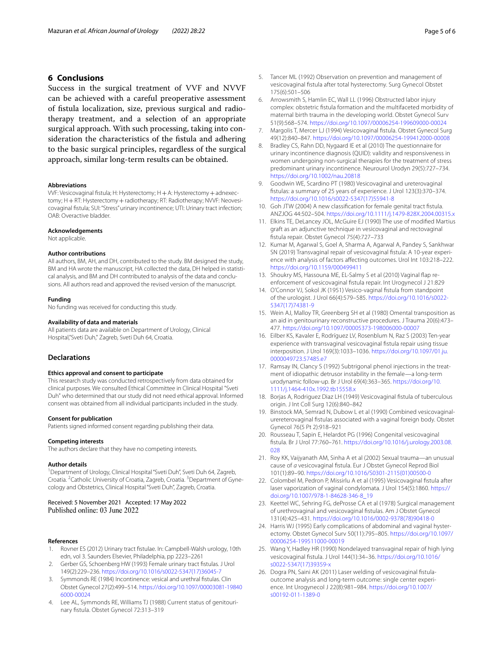## **6 Conclusions**

Success in the surgical treatment of VVF and NVVF can be achieved with a careful preoperative assessment of fstula localization, size, previous surgical and radiotherapy treatment, and a selection of an appropriate surgical approach. With such processing, taking into consideration the characteristics of the fstula and adhering to the basic surgical principles, regardless of the surgical approach, similar long-term results can be obtained.

#### **Abbreviations**

VVF: Vesicovaginal fstula; H: Hysterectomy; H+A: Hysterectomy+adnexectomy; H+RT: Hysterectomy+radiotherapy; RT: Radiotherapy; NVVF: Neovesicovaginal fstula; SUI: "Stress" urinary incontinence; UTI: Urinary tract infection; OAB: Overactive bladder.

#### **Acknowledgements**

Not applicable.

#### **Author contributions**

All authors, BM, AH, and DH, contributed to the study. BM designed the study, BM and HA wrote the manuscript, HA collected the data, DH helped in statistical analysis, and BM and DH contributed to analysis of the data and conclusions. All authors read and approved the revised version of the manuscript.

#### **Funding**

No funding was received for conducting this study.

#### **Availability of data and materials**

All patients data are available on Department of Urology, Clinical Hospital,"Sveti Duh," Zagreb, Sveti Duh 64, Croatia.

#### **Declarations**

#### **Ethics approval and consent to participate**

This research study was conducted retrospectively from data obtained for clinical purposes. We consulted Ethical Committee in Clinical Hospital "Sveti Duh" who determined that our study did not need ethical approval. Informed consent was obtained from all individual participants included in the study.

#### **Consent for publication**

Patients signed informed consent regarding publishing their data.

#### **Competing interests**

The authors declare that they have no competing interests.

#### **Author details**

<sup>1</sup> Department of Urology, Clinical Hospital "Sveti Duh", Sveti Duh 64, Zagreb, Croatia. <sup>2</sup> Catholic University of Croatia, Zagreb, Croatia. <sup>3</sup> Department of Gynecology and Obstetrics, Clinical Hospital "Sveti Duh", Zagreb, Croatia.

Received: 5 November 2021 Accepted: 17 May 2022 Published online: 03 June 2022

#### **References**

- <span id="page-4-0"></span>1. Rovner ES (2012) Urinary tract fstulae. In: Campbell-Walsh urology, 10th edn, vol 3. Saunders Elsevier, Philadelphia, pp 2223–2261
- <span id="page-4-1"></span>2. Gerber GS, Schoenberg HW (1993) Female urinary tract fstulas. J Urol 149(2):229–236. [https://doi.org/10.1016/s0022-5347\(17\)36045-7](https://doi.org/10.1016/s0022-5347(17)36045-7)
- <span id="page-4-2"></span>Symmonds RE (1984) Incontinence: vesical and urethral fistulas. Clin Obstet Gynecol 27(2):499–514. [https://doi.org/10.1097/00003081-19840](https://doi.org/10.1097/00003081-198406000-00024) [6000-00024](https://doi.org/10.1097/00003081-198406000-00024)
- 4. Lee AL, Symmonds RE, Williams TJ (1988) Current status of genitourinary fstula. Obstet Gynecol 72:313–319
- <span id="page-4-3"></span>5. Tancer ML (1992) Observation on prevention and management of vesicovaginal fstula after total hysterectomy. Surg Gynecol Obstet 175(6):501–506
- <span id="page-4-4"></span>6. Arrowsmith S, Hamlin EC, Wall LL (1996) Obstructed labor injury complex: obstetric fstula formation and the multifaceted morbidity of maternal birth trauma in the developing world. Obstet Gynecol Surv 51(9):568–574.<https://doi.org/10.1097/00006254-199609000-00024>
- <span id="page-4-5"></span>7. Margolis T, Mercer LJ (1994) Vesicovaginal fistula. Obstet Gynecol Surg 49(12):840–847. <https://doi.org/10.1097/00006254-199412000-00008>
- <span id="page-4-6"></span>8. Bradley CS, Rahn DD, Nygaard IE et al (2010) The questionnaire for urinary incontinence diagnosis (QUID): validity and responsiveness in women undergoing non-surgical therapies for the treatment of stress predominant urinary incontinence. Neurourol Urodyn 29(5):727–734. <https://doi.org/10.1002/nau.20818>
- <span id="page-4-7"></span>9. Goodwin WE, Scardino PT (1980) Vesicovaginal and ureterovaginal fstulas: a summary of 25 years of experience. J Urol 123(3):370–374. [https://doi.org/10.1016/s0022-5347\(17\)55941-8](https://doi.org/10.1016/s0022-5347(17)55941-8)
- <span id="page-4-8"></span>10. Goh JTW (2004) A new classifcation for female genital tract fstula. ANZJOG 44:502–504.<https://doi.org/10.1111/j.1479-828X.2004.00315.x>
- <span id="page-4-9"></span>11. Elkins TE, DeLancey JOL, McGuire EJ (1990) The use of modifed Martius graft as an adjunctive technique in vesicovaginal and rectovaginal fstula repair. Obstet Gynecol 75(4):727–733
- 12. Kumar M, Agarwal S, Goel A, Sharma A, Agarwal A, Pandey S, Sankhwar SN (2019) Transvaginal repair of vesicovaginal fstula: A 10-year experience with analysis of factors afecting outcomes. Urol Int 103:218–222. <https://doi.org/10.1159/000499411>
- <span id="page-4-10"></span>13. Shoukry MS, Hassouna ME, EL-Salmy S et al (2010) Vaginal fap reenforcement of vesicovaginal fstula repair. Int Urogynecol J 21:829
- <span id="page-4-11"></span>14. O'Connor VJ, Sokol JK (1951) Vesico-vaginal fstula from standpoint of the urologist. J Urol 66(4):579–585. [https://doi.org/10.1016/s0022-](https://doi.org/10.1016/s0022-5347(17)74381-9) [5347\(17\)74381-9](https://doi.org/10.1016/s0022-5347(17)74381-9)
- <span id="page-4-12"></span>15. Wein AJ, Malloy TR, Greenberg SH et al (1980) Omental transposition as an aid in genitourinary reconstructive procedures. J Trauma 20(6):473– 477.<https://doi.org/10.1097/00005373-198006000-00007>
- <span id="page-4-13"></span>16. Eilber KS, Kavaler E, Rodríguez LV, Rosenblum N, Raz S (2003) Ten-year experience with transvaginal vesicovaginal fstula repair using tissue interposition. J Urol 169(3):1033–1036. [https://doi.org/10.1097/01.ju.](https://doi.org/10.1097/01.ju.0000049723.57485.e7) [0000049723.57485.e7](https://doi.org/10.1097/01.ju.0000049723.57485.e7)
- <span id="page-4-14"></span>17. Ramsay IN, Clancy S (1992) Subtrigonal phenol injections in the treatment of idiopathic detrusor instability in the female—a long-term urodynamic follow-up. Br J Urol 69(4):363–365. [https://doi.org/10.](https://doi.org/10.1111/j.1464-410x.1992.tb15558.x) [1111/j.1464-410x.1992.tb15558.x](https://doi.org/10.1111/j.1464-410x.1992.tb15558.x)
- <span id="page-4-15"></span>18. Borjas A, Rodriguez Diaz LH (1949) Vesicovaginal fstula of tuberculous origin. J Int Coll Surg 12(6):840–842
- <span id="page-4-16"></span>19. Binstock MA, Semrad N, Dubow L et al (1990) Combined vesicovaginalurereterovaginal fstulas associated with a vaginal foreign body. Obstet Gynecol 76(5 Pt 2):918–921
- <span id="page-4-17"></span>20. Rousseau T, Sapin E, Helardot PG (1996) Congenital vesicovaginal fstula. Br J Urol 77:760–761. [https://doi.org/10.1016/j.urology.2003.08.](https://doi.org/10.1016/j.urology.2003.08.028) [028](https://doi.org/10.1016/j.urology.2003.08.028)
- <span id="page-4-18"></span>21. Roy KK, Vaijyanath AM, Sinha A et al (2002) Sexual trauma—an unusual cause of *a* vesicovaginal fstula. Eur J Obstet Gynecol Reprod Biol 101(1):89–90. [https://doi.org/10.1016/S0301-2115\(01\)00500-0](https://doi.org/10.1016/S0301-2115(01)00500-0)
- <span id="page-4-19"></span>22. Colombel M, Pedron P, Missirlu A et al (1995) Vesicovaginal fistula after laser vaporization of vaginal condylomata. J Urol 154(5):1860. [https://](https://doi.org/10.1007/978-1-84628-346-8_19) [doi.org/10.1007/978-1-84628-346-8\\_19](https://doi.org/10.1007/978-1-84628-346-8_19)
- <span id="page-4-20"></span>23. Keettel WC, Sehring FG, deProsse CA et al (1978) Surgical management of urethrovaginal and vesicovaginal fstulas. Am J Obstet Gynecol 131(4):425–431. [https://doi.org/10.1016/0002-9378\(78\)90418-0](https://doi.org/10.1016/0002-9378(78)90418-0)
- <span id="page-4-21"></span>24. Harris WJ (1995) Early complications of abdominal and vaginal hysterectomy. Obstet Gynecol Surv 50(11):795–805. [https://doi.org/10.1097/](https://doi.org/10.1097/00006254-199511000-00019) [00006254-199511000-00019](https://doi.org/10.1097/00006254-199511000-00019)
- <span id="page-4-22"></span>25. Wang Y, Hadley HR (1990) Nondelayed transvaginal repair of high lying vesicovaginal fstula. J Urol 144(1):34–36. [https://doi.org/10.1016/](https://doi.org/10.1016/s0022-5347(17)39359-x) [s0022-5347\(17\)39359-x](https://doi.org/10.1016/s0022-5347(17)39359-x)
- <span id="page-4-23"></span>26. Dogra PN, Saini AK (2011) Laser welding of vesicovaginal fistulaoutcome analysis and long-term outcome: single center experience. Int Urogynecol J 22(8):981–984. [https://doi.org/10.1007/](https://doi.org/10.1007/s00192-011-1389-0) [s00192-011-1389-0](https://doi.org/10.1007/s00192-011-1389-0)